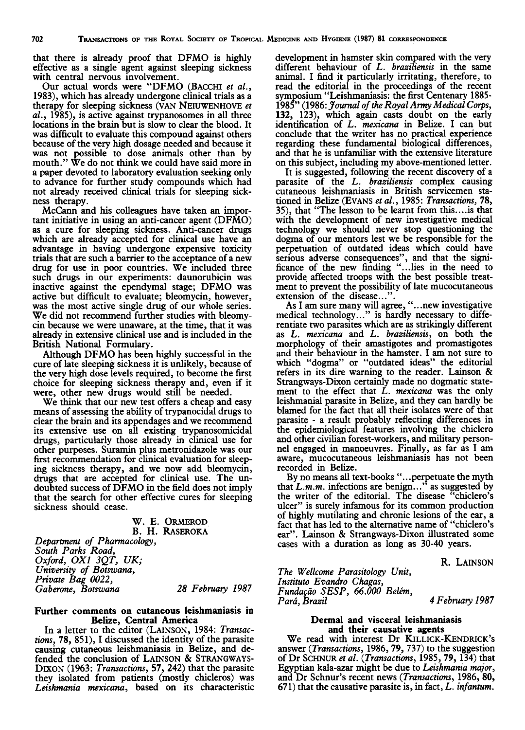that there is already proof that DFMO is highly effective as a single agent against sleeping sickness with central nervous involvement.

Our actual words were "DFMO (BACCHI et al., 1983), which has already undergone clinical trials as a therapy for sleeping sickness (VAN NEIUWENHOVE et  $al.$ , 1985), is active against trypanosomes in all three locations in the brain but is slow to clear the blood. It was difficult to evaluate this compound against others because of the very high dosage needed and because it was not possible to dose animals other than by mouth." We do not think we could have said more in a paper devoted to laboratory evaluation seeking only to advance for further study compounds which had not already received clinical trials for sleeping sickness therapy.

McCann and his colleagues have taken an important initiative in using an anti-cancer agent (DFMO) as a cure for sleeping sickness. Anti-cancer drugs which are already accepted for clinical use have an advantage in having undergone expensive toxicity trials that are such a barrier to the acceptance of a new drug for use in poor countries. We included three such drugs in our experiments: daunorubicin was inactive against the ependymal stage; DFMO was active but difficult to evaluate; bleomycin, however, was the most active single drug of our whole series. We did not recommend further studies with bleomycin because we were unaware, at the time, that it was already in extensive clinical use and is included in the British National Formulary.

Although DFMO has been highly successful in the cure of late sleeping sickness it is unlikely, because of the very high dose levels required, to become the first choice for sleeping sickness therapy and, even if it were, other new drugs would still be needed.

We think that our new test offers a cheap and easy means of assessing the ability of trypanocidal drugs to clear the brain and its appendages and we recommend its extensive use on all existing trypanosomicidal drugs, particularly those already in clinical use for other purposes. Suramin plus metronidazole was our first recommendation for clinical evaluation for sleeping sickness therapy, and we now add bleomycin, drugs that are accepted for clinical use. The undoubted success of DFMO in the field does not imply that the search for other effective cures for sleeping sickness should cease.

> W. E. ORMEROD B. H. RASEROKA

Department of Pharmacology, South Parks Road, Oxford, OXI 3QT, UK; University of Botswana, Private Bag 0022, Gaberone, Botswana 28 February 1987

#### Further comments on cutaneous leishmaniasis in Belize, Central America

In a letter to the editor (LAINSON, 1984: Transactions, 78, 851), I discussed the identity of the parasite causing cutaneous leishmaniasis in Belize, and defended the conclusion of LAINSON & STRANGWAYS-DIXON (1963: Transactions, 57, 242) that the parasite they isolated from patients (mostly chicleros) was Leishmania mexicana, based on its characteristic

development in hamster skin compared with the very different behaviour of L. braziliensis in the same animal. I find it particularly irritating, therefore, to read the editorial in the proceedings of the recent symposium "Leishmaniasis: the first Centenary 1885- 1985" (1986: Journal of the Royal Army Medical Corps, 132, 123), which again casts doubt on the early identification of L. mexicana in Belize. I can but conclude that the writer has no practical experience regarding these fundamental biological differences, and that he is unfamiliar with the extensive literature on this subject, including my above-mentioned letter.

It is suggested, following the recent discovery of a parasite of the L. braziliensis complex causing cutaneous leishmaniasis in British servicemen stationed in Belize (EVANS et al., 1985: Transactions, 78, 35), that "The lesson to be learnt from this.... is that with the development of new investigative medical technology we should never stop questioning the dogma of our mentors lest we be responsible for the perpetuation of outdated ideas which could have serious adverse consequences", and that the significance of the new finding "...lies in the need to provide affected troops with the best possible treatment to prevent the possibility of late mucocutaneous extension of the disease...".

As I am sure many will agree, "...new investigative medical technology..." is hardly necessary to differentiate two parasites which are as strikingly different as L. mexicana and L. braziliensis, on both the morphology of their amastigotes and promastigotes and their behaviour in the hamster. I am not sure to which "dogma" or "outdated ideas" the editorial refers in its dire warning to the reader. Lainson & Strangways-Dixon certainly made no dogmatic statement to the effect that L. mexicana was the only leishmanial parasite in Belize, and they can hardly be blamed for the fact that all their isolates were of that parasite - a result probably reflecting differences in the epidemiological features involving the chiclero and other civilian forest-workers, and military personnel engaged in manoeuvres. Finally, as far as I am aware, mucocutaneous leishmaniasis has not been recorded in Belize.

By no means all text-books "...perpetuate the myth that  $L.m.m.$  infections are benign..." as suggested by the writer of the editorial. The disease "chiclero's ulcer" is surely infamous for its common production of highly mutilating and chronic lesions of the ear, a fact that has led to the alternative name of "chiclero's ear". Lainson & Strangways-Dixon illustrated some cases with a duration as long as 30-40 years.

R. LAINSON

The Wellcome Parasitology Unit, Instituto Evandro Chagas, Fundação SESP, 66.000 Belém,<br>Pará, Brazil

4 February 1987

### Dermal and visceral leishmaniasis and their causative agents

We read with interest Dr KILLICK-KENDRICK's answer (Transactions, 1986,79,737) to the suggestion of Dr SCHNUR et ai. (Transactions, 1985,79, 134) that Egyptian kala-azar might be due to Leishmania major, and Dr Schnur's recent news (Transactions, 1986, 80, 671) that the causative parasite is, in fact,  $L$ . infantum.